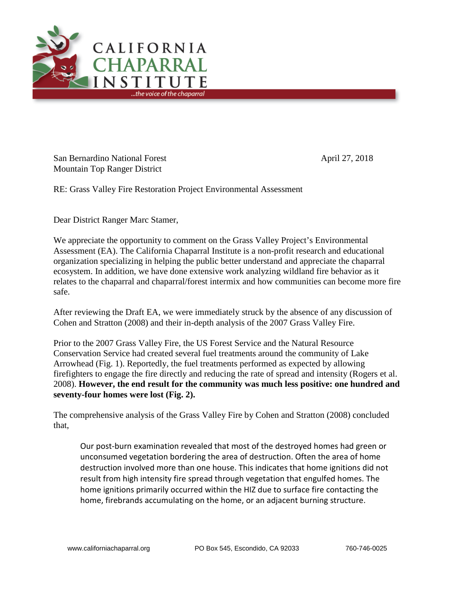

San Bernardino National Forest April 27, 2018 Mountain Top Ranger District

RE: Grass Valley Fire Restoration Project Environmental Assessment

Dear District Ranger Marc Stamer,

We appreciate the opportunity to comment on the Grass Valley Project's Environmental Assessment (EA). The California Chaparral Institute is a non-profit research and educational organization specializing in helping the public better understand and appreciate the chaparral ecosystem. In addition, we have done extensive work analyzing wildland fire behavior as it relates to the chaparral and chaparral/forest intermix and how communities can become more fire safe.

After reviewing the Draft EA, we were immediately struck by the absence of any discussion of Cohen and Stratton (2008) and their in-depth analysis of the 2007 Grass Valley Fire.

Prior to the 2007 Grass Valley Fire, the US Forest Service and the Natural Resource Conservation Service had created several fuel treatments around the community of Lake Arrowhead (Fig. 1). Reportedly, the fuel treatments performed as expected by allowing firefighters to engage the fire directly and reducing the rate of spread and intensity (Rogers et al. 2008). **However, the end result for the community was much less positive: one hundred and seventy-four homes were lost (Fig. 2).**

The comprehensive analysis of the Grass Valley Fire by Cohen and Stratton (2008) concluded that,

Our post-burn examination revealed that most of the destroyed homes had green or unconsumed vegetation bordering the area of destruction. Often the area of home destruction involved more than one house. This indicates that home ignitions did not result from high intensity fire spread through vegetation that engulfed homes. The home ignitions primarily occurred within the HIZ due to surface fire contacting the home, firebrands accumulating on the home, or an adjacent burning structure.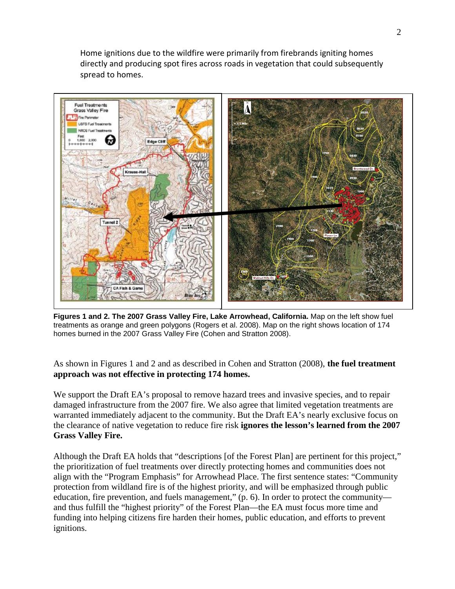Home ignitions due to the wildfire were primarily from firebrands igniting homes directly and producing spot fires across roads in vegetation that could subsequently spread to homes.



**Figures 1 and 2. The 2007 Grass Valley Fire, Lake Arrowhead, California.** Map on the left show fuel treatments as orange and green polygons (Rogers et al. 2008). Map on the right shows location of 174 homes burned in the 2007 Grass Valley Fire (Cohen and Stratton 2008).

As shown in Figures 1 and 2 and as described in Cohen and Stratton (2008), **the fuel treatment approach was not effective in protecting 174 homes.**

We support the Draft EA's proposal to remove hazard trees and invasive species, and to repair damaged infrastructure from the 2007 fire. We also agree that limited vegetation treatments are warranted immediately adjacent to the community. But the Draft EA's nearly exclusive focus on the clearance of native vegetation to reduce fire risk **ignores the lesson's learned from the 2007 Grass Valley Fire.**

Although the Draft EA holds that "descriptions [of the Forest Plan] are pertinent for this project," the prioritization of fuel treatments over directly protecting homes and communities does not align with the "Program Emphasis" for Arrowhead Place. The first sentence states: "Community protection from wildland fire is of the highest priority, and will be emphasized through public education, fire prevention, and fuels management," (p. 6). In order to protect the community and thus fulfill the "highest priority" of the Forest Plan—the EA must focus more time and funding into helping citizens fire harden their homes, public education, and efforts to prevent ignitions.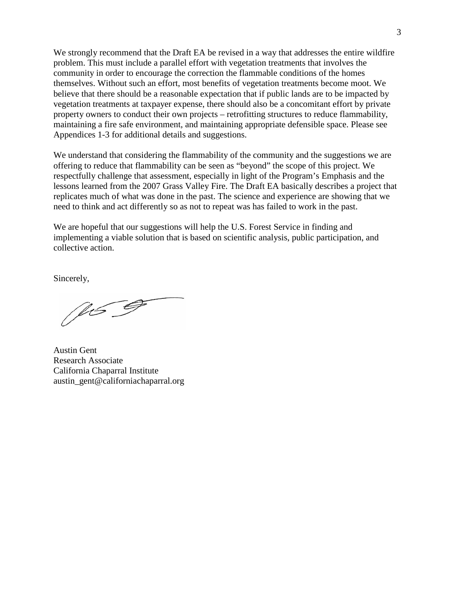We strongly recommend that the Draft EA be revised in a way that addresses the entire wildfire problem. This must include a parallel effort with vegetation treatments that involves the community in order to encourage the correction the flammable conditions of the homes themselves. Without such an effort, most benefits of vegetation treatments become moot. We believe that there should be a reasonable expectation that if public lands are to be impacted by vegetation treatments at taxpayer expense, there should also be a concomitant effort by private property owners to conduct their own projects – retrofitting structures to reduce flammability, maintaining a fire safe environment, and maintaining appropriate defensible space. Please see Appendices 1-3 for additional details and suggestions.

We understand that considering the flammability of the community and the suggestions we are offering to reduce that flammability can be seen as "beyond" the scope of this project. We respectfully challenge that assessment, especially in light of the Program's Emphasis and the lessons learned from the 2007 Grass Valley Fire. The Draft EA basically describes a project that replicates much of what was done in the past. The science and experience are showing that we need to think and act differently so as not to repeat was has failed to work in the past.

We are hopeful that our suggestions will help the U.S. Forest Service in finding and implementing a viable solution that is based on scientific analysis, public participation, and collective action.

Sincerely,

169

Austin Gent Research Associate California Chaparral Institute austin\_gent@californiachaparral.org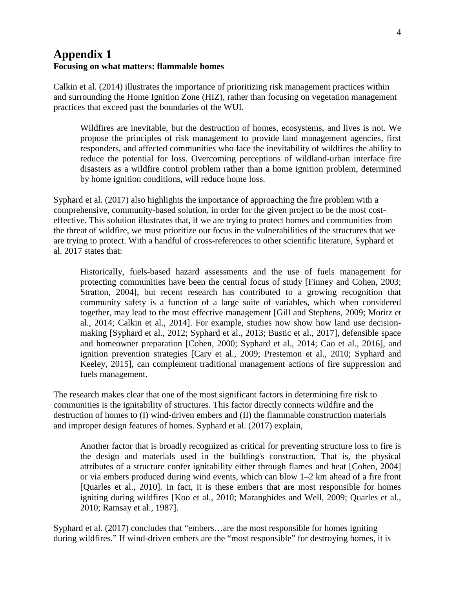## **Appendix 1 Focusing on what matters: flammable homes**

Calkin et al. (2014) illustrates the importance of prioritizing risk management practices within and surrounding the Home Ignition Zone (HIZ), rather than focusing on vegetation management practices that exceed past the boundaries of the WUI.

Wildfires are inevitable, but the destruction of homes, ecosystems, and lives is not. We propose the principles of risk management to provide land management agencies, first responders, and affected communities who face the inevitability of wildfires the ability to reduce the potential for loss. Overcoming perceptions of wildland-urban interface fire disasters as a wildfire control problem rather than a home ignition problem, determined by home ignition conditions, will reduce home loss.

Syphard et al. (2017) also highlights the importance of approaching the fire problem with a comprehensive, community-based solution, in order for the given project to be the most costeffective. This solution illustrates that, if we are trying to protect homes and communities from the threat of wildfire, we must prioritize our focus in the vulnerabilities of the structures that we are trying to protect. With a handful of cross-references to other scientific literature, Syphard et al. 2017 states that:

Historically, fuels-based hazard assessments and the use of fuels management for protecting communities have been the central focus of study [Finney and Cohen, 2003; Stratton, 2004], but recent research has contributed to a growing recognition that community safety is a function of a large suite of variables, which when considered together, may lead to the most effective management [Gill and Stephens, 2009; Moritz et al., 2014; Calkin et al., 2014]. For example, studies now show how land use decisionmaking [Syphard et al., 2012; Syphard et al., 2013; Bustic et al., 2017], defensible space and homeowner preparation [Cohen, 2000; Syphard et al., 2014; Cao et al., 2016], and ignition prevention strategies [Cary et al., 2009; Prestemon et al., 2010; Syphard and Keeley, 2015], can complement traditional management actions of fire suppression and fuels management.

The research makes clear that one of the most significant factors in determining fire risk to communities is the ignitability of structures. This factor directly connects wildfire and the destruction of homes to (I) wind-driven embers and (II) the flammable construction materials and improper design features of homes. Syphard et al. (2017) explain,

Another factor that is broadly recognized as critical for preventing structure loss to fire is the design and materials used in the building's construction. That is, the physical attributes of a structure confer ignitability either through flames and heat [Cohen, 2004] or via embers produced during wind events, which can blow 1–2 km ahead of a fire front [Quarles et al., 2010]. In fact, it is these embers that are most responsible for homes igniting during wildfires [Koo et al., 2010; Maranghides and Well, 2009; Quarles et al., 2010; Ramsay et al., 1987].

Syphard et al. (2017) concludes that "embers…are the most responsible for homes igniting during wildfires." If wind-driven embers are the "most responsible" for destroying homes, it is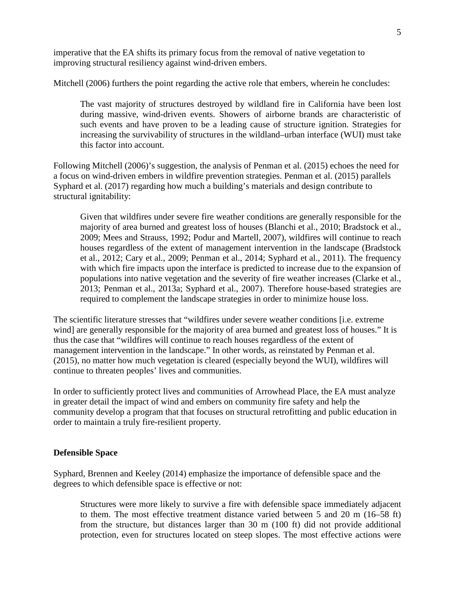imperative that the EA shifts its primary focus from the removal of native vegetation to improving structural resiliency against wind-driven embers.

Mitchell (2006) furthers the point regarding the active role that embers, wherein he concludes:

The vast majority of structures destroyed by wildland fire in California have been lost during massive, wind-driven events. Showers of airborne brands are characteristic of such events and have proven to be a leading cause of structure ignition. Strategies for increasing the survivability of structures in the wildland–urban interface (WUI) must take this factor into account.

Following Mitchell (2006)'s suggestion, the analysis of Penman et al. (2015) echoes the need for a focus on wind-driven embers in wildfire prevention strategies. Penman et al. (2015) parallels Syphard et al. (2017) regarding how much a building's materials and design contribute to structural ignitability:

Given that wildfires under severe fire weather conditions are generally responsible for the majority of area burned and greatest loss of houses (Blanchi et al., 2010; Bradstock et al., 2009; Mees and Strauss, 1992; Podur and Martell, 2007), wildfires will continue to reach houses regardless of the extent of management intervention in the landscape (Bradstock et al., 2012; Cary et al., 2009; Penman et al., 2014; Syphard et al., 2011). The frequency with which fire impacts upon the interface is predicted to increase due to the expansion of populations into native vegetation and the severity of fire weather increases (Clarke et al., 2013; Penman et al., 2013a; Syphard et al., 2007). Therefore house-based strategies are required to complement the landscape strategies in order to minimize house loss.

The scientific literature stresses that "wildfires under severe weather conditions [i.e. extreme wind] are generally responsible for the majority of area burned and greatest loss of houses." It is thus the case that "wildfires will continue to reach houses regardless of the extent of management intervention in the landscape." In other words, as reinstated by Penman et al. (2015), no matter how much vegetation is cleared (especially beyond the WUI), wildfires will continue to threaten peoples' lives and communities.

In order to sufficiently protect lives and communities of Arrowhead Place, the EA must analyze in greater detail the impact of wind and embers on community fire safety and help the community develop a program that that focuses on structural retrofitting and public education in order to maintain a truly fire-resilient property.

#### **Defensible Space**

Syphard, Brennen and Keeley (2014) emphasize the importance of defensible space and the degrees to which defensible space is effective or not:

Structures were more likely to survive a fire with defensible space immediately adjacent to them. The most effective treatment distance varied between 5 and 20 m (16–58 ft) from the structure, but distances larger than 30 m (100 ft) did not provide additional protection, even for structures located on steep slopes. The most effective actions were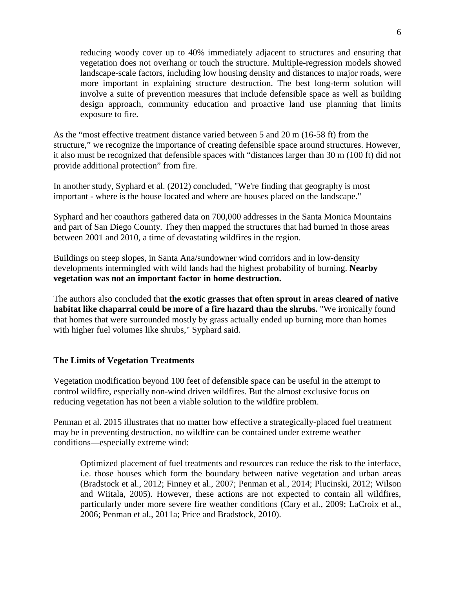reducing woody cover up to 40% immediately adjacent to structures and ensuring that vegetation does not overhang or touch the structure. Multiple-regression models showed landscape-scale factors, including low housing density and distances to major roads, were more important in explaining structure destruction. The best long-term solution will involve a suite of prevention measures that include defensible space as well as building design approach, community education and proactive land use planning that limits exposure to fire.

As the "most effective treatment distance varied between 5 and 20 m (16-58 ft) from the structure," we recognize the importance of creating defensible space around structures. However, it also must be recognized that defensible spaces with "distances larger than 30 m (100 ft) did not provide additional protection" from fire.

In another study, Syphard et al. (2012) concluded, "We're finding that geography is most important - where is the house located and where are houses placed on the landscape."

Syphard and her coauthors gathered data on 700,000 addresses in the Santa Monica Mountains and part of San Diego County. They then mapped the structures that had burned in those areas between 2001 and 2010, a time of devastating wildfires in the region.

Buildings on steep slopes, in Santa Ana/sundowner wind corridors and in low-density developments intermingled with wild lands had the highest probability of burning. **Nearby vegetation was not an important factor in home destruction.**

The authors also concluded that **the exotic grasses that often sprout in areas cleared of native habitat like chaparral could be more of a fire hazard than the shrubs.** "We ironically found that homes that were surrounded mostly by grass actually ended up burning more than homes with higher fuel volumes like shrubs," Syphard said.

#### **The Limits of Vegetation Treatments**

Vegetation modification beyond 100 feet of defensible space can be useful in the attempt to control wildfire, especially non-wind driven wildfires. But the almost exclusive focus on reducing vegetation has not been a viable solution to the wildfire problem.

Penman et al. 2015 illustrates that no matter how effective a strategically-placed fuel treatment may be in preventing destruction, no wildfire can be contained under extreme weather conditions—especially extreme wind:

Optimized placement of fuel treatments and resources can reduce the risk to the interface, i.e. those houses which form the boundary between native vegetation and urban areas (Bradstock et al., 2012; Finney et al., 2007; Penman et al., 2014; Plucinski, 2012; Wilson and Wiitala, 2005). However, these actions are not expected to contain all wildfires, particularly under more severe fire weather conditions (Cary et al., 2009; LaCroix et al., 2006; Penman et al., 2011a; Price and Bradstock, 2010).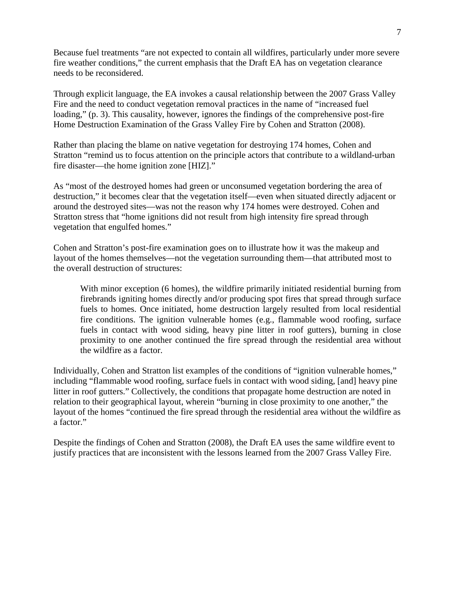Because fuel treatments "are not expected to contain all wildfires, particularly under more severe fire weather conditions," the current emphasis that the Draft EA has on vegetation clearance needs to be reconsidered.

Through explicit language, the EA invokes a causal relationship between the 2007 Grass Valley Fire and the need to conduct vegetation removal practices in the name of "increased fuel loading," (p. 3). This causality, however, ignores the findings of the comprehensive post-fire Home Destruction Examination of the Grass Valley Fire by Cohen and Stratton (2008).

Rather than placing the blame on native vegetation for destroying 174 homes, Cohen and Stratton "remind us to focus attention on the principle actors that contribute to a wildland-urban fire disaster—the home ignition zone [HIZ]."

As "most of the destroyed homes had green or unconsumed vegetation bordering the area of destruction," it becomes clear that the vegetation itself—even when situated directly adjacent or around the destroyed sites—was not the reason why 174 homes were destroyed. Cohen and Stratton stress that "home ignitions did not result from high intensity fire spread through vegetation that engulfed homes."

Cohen and Stratton's post-fire examination goes on to illustrate how it was the makeup and layout of the homes themselves—not the vegetation surrounding them—that attributed most to the overall destruction of structures:

With minor exception (6 homes), the wildfire primarily initiated residential burning from firebrands igniting homes directly and/or producing spot fires that spread through surface fuels to homes. Once initiated, home destruction largely resulted from local residential fire conditions. The ignition vulnerable homes (e.g., flammable wood roofing, surface fuels in contact with wood siding, heavy pine litter in roof gutters), burning in close proximity to one another continued the fire spread through the residential area without the wildfire as a factor.

Individually, Cohen and Stratton list examples of the conditions of "ignition vulnerable homes," including "flammable wood roofing, surface fuels in contact with wood siding, [and] heavy pine litter in roof gutters." Collectively, the conditions that propagate home destruction are noted in relation to their geographical layout, wherein "burning in close proximity to one another," the layout of the homes "continued the fire spread through the residential area without the wildfire as a factor."

Despite the findings of Cohen and Stratton (2008), the Draft EA uses the same wildfire event to justify practices that are inconsistent with the lessons learned from the 2007 Grass Valley Fire.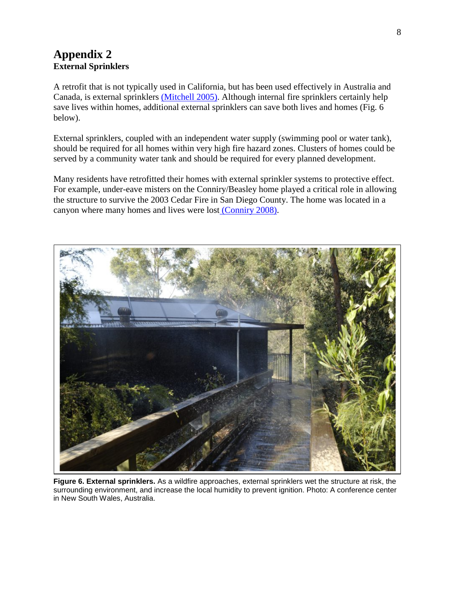# **Appendix 2 External Sprinklers**

A retrofit that is not typically used in California, but has been used effectively in Australia and Canada, is external sprinklers [\(Mitchell 2005\).](http://www.californiachaparral.com/images/Mitchell_JW_Ex_Sprinklers_WEEDS_2006.pdf) Although internal fire sprinklers certainly help save lives within homes, additional external sprinklers can save both lives and homes (Fig. 6 below).

External sprinklers, coupled with an independent water supply (swimming pool or water tank), should be required for all homes within very high fire hazard zones. Clusters of homes could be served by a community water tank and should be required for every planned development.

Many residents have retrofitted their homes with external sprinkler systems to protective effect. For example, under-eave misters on the Conniry/Beasley home played a critical role in allowing the structure to survive the 2003 Cedar Fire in San Diego County. The home was located in a canyon where many homes and lives were lost [\(Conniry 2008\).](http://www.californiachaparral.com/images/Conniry_Story.pdf)



**Figure 6. External sprinklers.** As a wildfire approaches, external sprinklers wet the structure at risk, the surrounding environment, and increase the local humidity to prevent ignition. Photo: A conference center in New South Wales, Australia.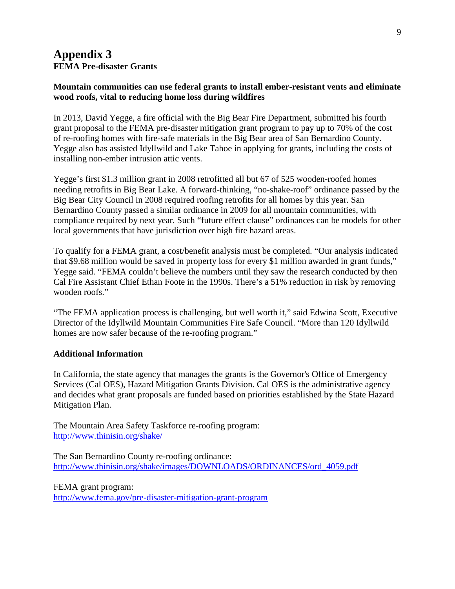# **Appendix 3 FEMA Pre-disaster Grants**

### **Mountain communities can use federal grants to install ember-resistant vents and eliminate wood roofs, vital to reducing home loss during wildfires**

In 2013, David Yegge, a fire official with the Big Bear Fire Department, submitted his fourth grant proposal to the FEMA pre-disaster mitigation grant program to pay up to 70% of the cost of re-roofing homes with fire-safe materials in the Big Bear area of San Bernardino County. Yegge also has assisted Idyllwild and Lake Tahoe in applying for grants, including the costs of installing non-ember intrusion attic vents.

Yegge's first \$1.3 million grant in 2008 retrofitted all but 67 of 525 wooden-roofed homes needing retrofits in Big Bear Lake. A forward-thinking, "no-shake-roof" ordinance passed by the Big Bear City Council in 2008 required roofing retrofits for all homes by this year. San Bernardino County passed a similar ordinance in 2009 for all mountain communities, with compliance required by next year. Such "future effect clause" ordinances can be models for other local governments that have jurisdiction over high fire hazard areas.

To qualify for a FEMA grant, a cost/benefit analysis must be completed. "Our analysis indicated that \$9.68 million would be saved in property loss for every \$1 million awarded in grant funds," Yegge said. "FEMA couldn't believe the numbers until they saw the research conducted by then Cal Fire Assistant Chief Ethan Foote in the 1990s. There's a 51% reduction in risk by removing wooden roofs."

"The FEMA application process is challenging, but well worth it," said Edwina Scott, Executive Director of the Idyllwild Mountain Communities Fire Safe Council. "More than 120 Idyllwild homes are now safer because of the re-roofing program."

#### **Additional Information**

In California, the state agency that manages the grants is the Governor's Office of Emergency Services (Cal OES), Hazard Mitigation Grants Division. Cal OES is the administrative agency and decides what grant proposals are funded based on priorities established by the State Hazard Mitigation Plan.

The Mountain Area Safety Taskforce re-roofing program: <http://www.thinisin.org/shake/>

The San Bernardino County re-roofing ordinance: [http://www.thinisin.org/shake/images/DOWNLOADS/ORDINANCES/ord\\_4059.pdf](http://www.thinisin.org/shake/images/DOWNLOADS/ORDINANCES/ord_4059.pdf)

FEMA grant program: <http://www.fema.gov/pre-disaster-mitigation-grant-program>